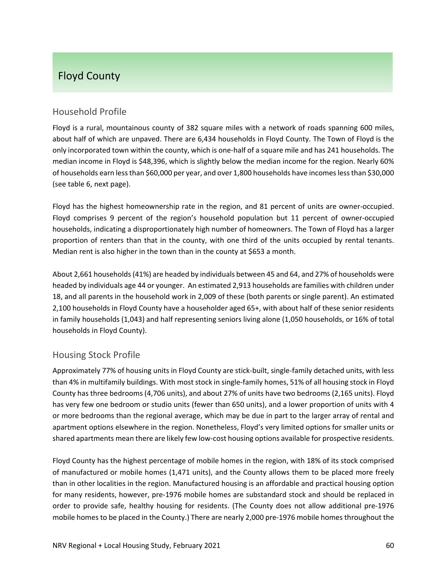# Floyd County

## Household Profile

Floyd is a rural, mountainous county of 382 square miles with a network of roads spanning 600 miles, about half of which are unpaved. There are 6,434 households in Floyd County. The Town of Floyd is the only incorporated town within the county, which is one‐half of a square mile and has 241 households. The median income in Floyd is \$48,396, which is slightly below the median income for the region. Nearly 60% of households earn lessthan \$60,000 per year, and over 1,800 households have incomeslessthan \$30,000 (see table 6, next page).

Floyd has the highest homeownership rate in the region, and 81 percent of units are owner‐occupied. Floyd comprises 9 percent of the region's household population but 11 percent of owner‐occupied households, indicating a disproportionately high number of homeowners. The Town of Floyd has a larger proportion of renters than that in the county, with one third of the units occupied by rental tenants. Median rent is also higher in the town than in the county at \$653 a month.

About 2,661 households(41%) are headed by individuals between 45 and 64, and 27% of households were headed by individuals age 44 or younger. An estimated 2,913 households are families with children under 18, and all parents in the household work in 2,009 of these (both parents or single parent). An estimated 2,100 households in Floyd County have a householder aged 65+, with about half of these senior residents in family households (1,043) and half representing seniors living alone (1,050 households, or 16% of total households in Floyd County).

## Housing Stock Profile

Approximately 77% of housing units in Floyd County are stick-built, single-family detached units, with less than 4% in multifamily buildings. With most stock in single‐family homes, 51% of all housing stock in Floyd County has three bedrooms (4,706 units), and about 27% of units have two bedrooms (2,165 units). Floyd has very few one bedroom or studio units (fewer than 650 units), and a lower proportion of units with 4 or more bedrooms than the regional average, which may be due in part to the larger array of rental and apartment options elsewhere in the region. Nonetheless, Floyd's very limited options for smaller units or shared apartments mean there are likely few low‐cost housing options available for prospective residents.

Floyd County has the highest percentage of mobile homes in the region, with 18% of its stock comprised of manufactured or mobile homes (1,471 units), and the County allows them to be placed more freely than in other localities in the region. Manufactured housing is an affordable and practical housing option for many residents, however, pre‐1976 mobile homes are substandard stock and should be replaced in order to provide safe, healthy housing for residents. (The County does not allow additional pre‐1976 mobile homes to be placed in the County.) There are nearly 2,000 pre-1976 mobile homes throughout the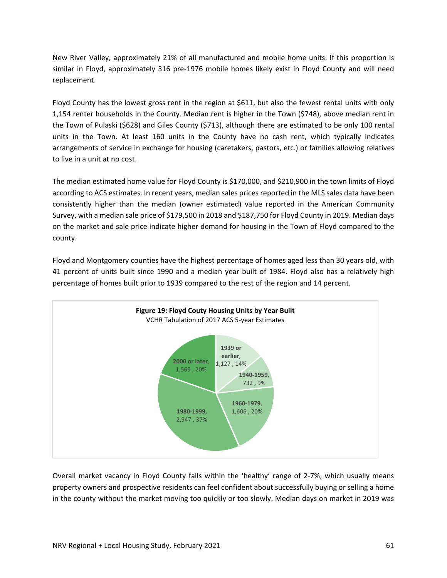New River Valley, approximately 21% of all manufactured and mobile home units. If this proportion is similar in Floyd, approximately 316 pre-1976 mobile homes likely exist in Floyd County and will need replacement.

Floyd County has the lowest gross rent in the region at \$611, but also the fewest rental units with only 1,154 renter households in the County. Median rent is higher in the Town (\$748), above median rent in the Town of Pulaski (\$628) and Giles County (\$713), although there are estimated to be only 100 rental units in the Town. At least 160 units in the County have no cash rent, which typically indicates arrangements of service in exchange for housing (caretakers, pastors, etc.) or families allowing relatives to live in a unit at no cost.

The median estimated home value for Floyd County is \$170,000, and \$210,900 in the town limits of Floyd according to ACS estimates. In recent years, median sales prices reported in the MLS sales data have been consistently higher than the median (owner estimated) value reported in the American Community Survey, with a median sale price of \$179,500 in 2018 and \$187,750 for Floyd County in 2019. Median days on the market and sale price indicate higher demand for housing in the Town of Floyd compared to the county.

Floyd and Montgomery counties have the highest percentage of homes aged less than 30 years old, with 41 percent of units built since 1990 and a median year built of 1984. Floyd also has a relatively high percentage of homes built prior to 1939 compared to the rest of the region and 14 percent.



Overall market vacancy in Floyd County falls within the 'healthy' range of 2‐7%, which usually means property owners and prospective residents can feel confident about successfully buying or selling a home in the county without the market moving too quickly or too slowly. Median days on market in 2019 was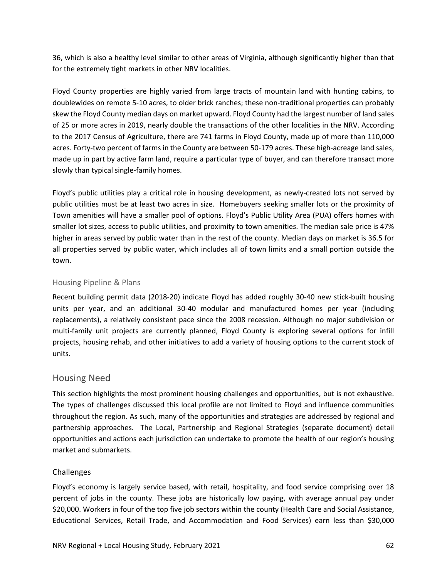36, which is also a healthy level similar to other areas of Virginia, although significantly higher than that for the extremely tight markets in other NRV localities.

Floyd County properties are highly varied from large tracts of mountain land with hunting cabins, to doublewides on remote 5‐10 acres, to older brick ranches; these non‐traditional properties can probably skew the Floyd County median days on market upward. Floyd County had the largest number of land sales of 25 or more acres in 2019, nearly double the transactions of the other localities in the NRV. According to the 2017 Census of Agriculture, there are 741 farms in Floyd County, made up of more than 110,000 acres. Forty-two percent of farms in the County are between 50-179 acres. These high-acreage land sales, made up in part by active farm land, require a particular type of buyer, and can therefore transact more slowly than typical single-family homes.

Floyd's public utilities play a critical role in housing development, as newly-created lots not served by public utilities must be at least two acres in size. Homebuyers seeking smaller lots or the proximity of Town amenities will have a smaller pool of options. Floyd's Public Utility Area (PUA) offers homes with smaller lot sizes, access to public utilities, and proximity to town amenities. The median sale price is 47% higher in areas served by public water than in the rest of the county. Median days on market is 36.5 for all properties served by public water, which includes all of town limits and a small portion outside the town.

#### Housing Pipeline & Plans

Recent building permit data (2018‐20) indicate Floyd has added roughly 30‐40 new stick‐built housing units per year, and an additional 30‐40 modular and manufactured homes per year (including replacements), a relatively consistent pace since the 2008 recession. Although no major subdivision or multi-family unit projects are currently planned, Floyd County is exploring several options for infill projects, housing rehab, and other initiatives to add a variety of housing options to the current stock of units.

### Housing Need

This section highlights the most prominent housing challenges and opportunities, but is not exhaustive. The types of challenges discussed this local profile are not limited to Floyd and influence communities throughout the region. As such, many of the opportunities and strategies are addressed by regional and partnership approaches. The Local, Partnership and Regional Strategies (separate document) detail opportunities and actions each jurisdiction can undertake to promote the health of our region's housing market and submarkets.

### Challenges

Floyd's economy is largely service based, with retail, hospitality, and food service comprising over 18 percent of jobs in the county. These jobs are historically low paying, with average annual pay under \$20,000. Workers in four of the top five job sectors within the county (Health Care and Social Assistance, Educational Services, Retail Trade, and Accommodation and Food Services) earn less than \$30,000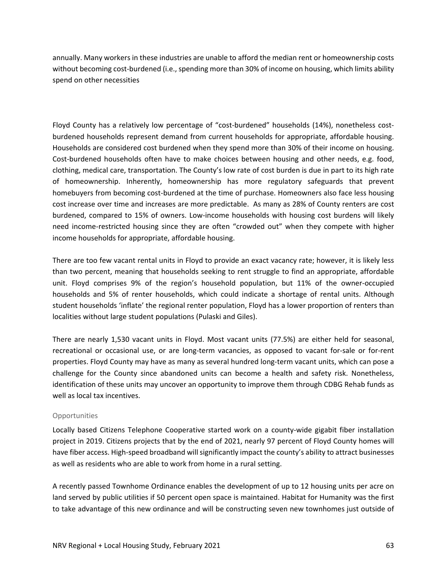annually. Many workers in these industries are unable to afford the median rent or homeownership costs without becoming cost-burdened (i.e., spending more than 30% of income on housing, which limits ability spend on other necessities

Floyd County has a relatively low percentage of "cost-burdened" households (14%), nonetheless costburdened households represent demand from current households for appropriate, affordable housing. Households are considered cost burdened when they spend more than 30% of their income on housing. Cost-burdened households often have to make choices between housing and other needs, e.g. food, clothing, medical care, transportation. The County's low rate of cost burden is due in part to its high rate of homeownership. Inherently, homeownership has more regulatory safeguards that prevent homebuyers from becoming cost-burdened at the time of purchase. Homeowners also face less housing cost increase over time and increases are more predictable. As many as 28% of County renters are cost burdened, compared to 15% of owners. Low‐income households with housing cost burdens will likely need income-restricted housing since they are often "crowded out" when they compete with higher income households for appropriate, affordable housing.

There are too few vacant rental units in Floyd to provide an exact vacancy rate; however, it is likely less than two percent, meaning that households seeking to rent struggle to find an appropriate, affordable unit. Floyd comprises 9% of the region's household population, but 11% of the owner‐occupied households and 5% of renter households, which could indicate a shortage of rental units. Although student households 'inflate' the regional renter population, Floyd has a lower proportion of renters than localities without large student populations (Pulaski and Giles).

There are nearly 1,530 vacant units in Floyd. Most vacant units (77.5%) are either held for seasonal, recreational or occasional use, or are long-term vacancies, as opposed to vacant for-sale or for-rent properties. Floyd County may have as many as several hundred long‐term vacant units, which can pose a challenge for the County since abandoned units can become a health and safety risk. Nonetheless, identification of these units may uncover an opportunity to improve them through CDBG Rehab funds as well as local tax incentives.

#### **Opportunities**

Locally based Citizens Telephone Cooperative started work on a county‐wide gigabit fiber installation project in 2019. Citizens projects that by the end of 2021, nearly 97 percent of Floyd County homes will have fiber access. High-speed broadband will significantly impact the county's ability to attract businesses as well as residents who are able to work from home in a rural setting.

A recently passed Townhome Ordinance enables the development of up to 12 housing units per acre on land served by public utilities if 50 percent open space is maintained. Habitat for Humanity was the first to take advantage of this new ordinance and will be constructing seven new townhomes just outside of